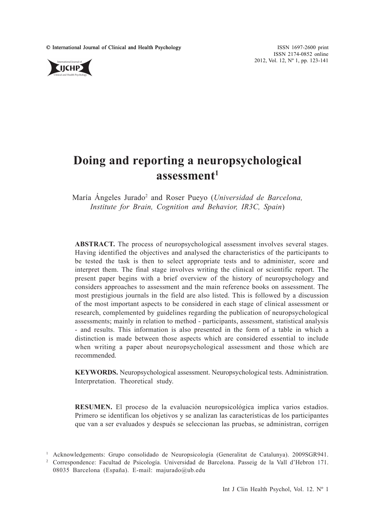© International Journal of Clinical and Health Psychology ISSN 1697-2600 print<br>
ISSN 1697-2600 print

ISSN 2174-0852 online 2012, Vol. 12, Nº 1, pp. 123-141



# **Doing and reporting a neuropsychological assessment1**

María Ángeles Jurado2 and Roser Pueyo (*Universidad de Barcelona, Institute for Brain, Cognition and Behavior, IR3C, Spain*)

**ABSTRACT.** The process of neuropsychological assessment involves several stages. Having identified the objectives and analysed the characteristics of the participants to be tested the task is then to select appropriate tests and to administer, score and interpret them. The final stage involves writing the clinical or scientific report. The present paper begins with a brief overview of the history of neuropsychology and considers approaches to assessment and the main reference books on assessment. The most prestigious journals in the field are also listed. This is followed by a discussion of the most important aspects to be considered in each stage of clinical assessment or research, complemented by guidelines regarding the publication of neuropsychological assessments; mainly in relation to method - participants, assessment, statistical analysis - and results. This information is also presented in the form of a table in which a distinction is made between those aspects which are considered essential to include when writing a paper about neuropsychological assessment and those which are recommended.

**KEYWORDS.** Neuropsychological assessment. Neuropsychological tests. Administration. Interpretation. Theoretical study.

**RESUMEN.** El proceso de la evaluación neuropsicológica implica varios estadios. Primero se identifican los objetivos y se analizan las características de los participantes que van a ser evaluados y después se seleccionan las pruebas, se administran, corrigen

<sup>1</sup> Acknowledgements: Grupo consolidado de Neuropsicología (Generalitat de Catalunya). 2009SGR941.

<sup>2</sup> Correspondence: Facultad de Psicología. Universidad de Barcelona. Passeig de la Vall d'Hebron 171. 08035 Barcelona (España). E-mail: majurado@ub.edu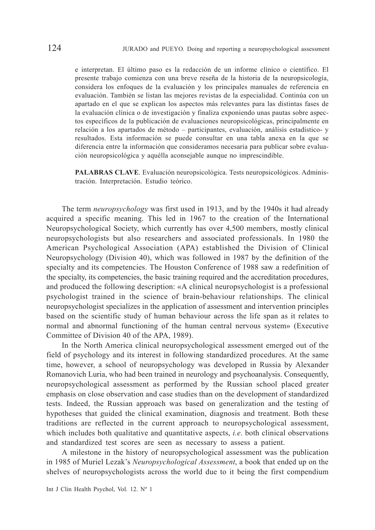e interpretan. El último paso es la redacción de un informe clínico o científico. El presente trabajo comienza con una breve reseña de la historia de la neuropsicología, considera los enfoques de la evaluación y los principales manuales de referencia en evaluación. También se listan las mejores revistas de la especialidad. Continúa con un apartado en el que se explican los aspectos más relevantes para las distintas fases de la evaluación clínica o de investigación y finaliza exponiendo unas pautas sobre aspectos específicos de la publicación de evaluaciones neuropsicológicas, principalmente en relación a los apartados de método – participantes, evaluación, análisis estadístico- y resultados. Esta información se puede consultar en una tabla anexa en la que se diferencia entre la información que consideramos necesaria para publicar sobre evaluación neuropsicológica y aquélla aconsejable aunque no imprescindible.

**PALABRAS CLAVE**. Evaluación neuropsicológica. Tests neuropsicológicos. Administración. Interpretación. Estudio teórico.

The term *neuropsychology* was first used in 1913, and by the 1940s it had already acquired a specific meaning. This led in 1967 to the creation of the International Neuropsychological Society, which currently has over 4,500 members, mostly clinical neuropsychologists but also researchers and associated professionals. In 1980 the American Psychological Association (APA) established the Division of Clinical Neuropsychology (Division 40), which was followed in 1987 by the definition of the specialty and its competencies. The Houston Conference of 1988 saw a redefinition of the specialty, its competencies, the basic training required and the accreditation procedures, and produced the following description: «A clinical neuropsychologist is a professional psychologist trained in the science of brain-behaviour relationships. The clinical neuropsychologist specializes in the application of assessment and intervention principles based on the scientific study of human behaviour across the life span as it relates to normal and abnormal functioning of the human central nervous system» (Executive Committee of Division 40 of the APA, 1989).

In the North America clinical neuropsychological assessment emerged out of the field of psychology and its interest in following standardized procedures. At the same time, however, a school of neuropsychology was developed in Russia by Alexander Romanovich Luria, who had been trained in neurology and psychoanalysis. Consequently, neuropsychological assessment as performed by the Russian school placed greater emphasis on close observation and case studies than on the development of standardized tests. Indeed, the Russian approach was based on generalization and the testing of hypotheses that guided the clinical examination, diagnosis and treatment. Both these traditions are reflected in the current approach to neuropsychological assessment, which includes both qualitative and quantitative aspects, *i.e*. both clinical observations and standardized test scores are seen as necessary to assess a patient.

A milestone in the history of neuropsychological assessment was the publication in 1985 of Muriel Lezak's *Neuropsychological Assessment*, a book that ended up on the shelves of neuropsychologists across the world due to it being the first compendium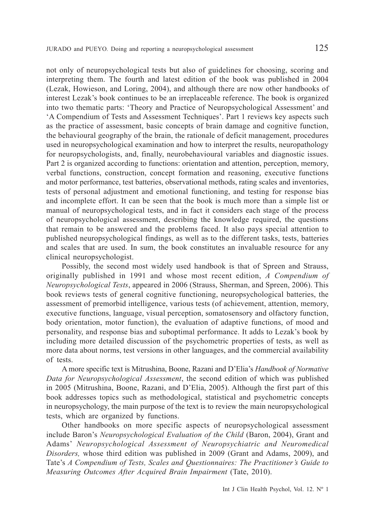not only of neuropsychological tests but also of guidelines for choosing, scoring and interpreting them. The fourth and latest edition of the book was published in 2004 (Lezak, Howieson, and Loring, 2004), and although there are now other handbooks of interest Lezak's book continues to be an irreplaceable reference. The book is organized into two thematic parts: 'Theory and Practice of Neuropsychological Assessment' and 'A Compendium of Tests and Assessment Techniques'. Part 1 reviews key aspects such as the practice of assessment, basic concepts of brain damage and cognitive function, the behavioural geography of the brain, the rationale of deficit management, procedures used in neuropsychological examination and how to interpret the results, neuropathology for neuropsychologists, and, finally, neurobehavioural variables and diagnostic issues. Part 2 is organized according to functions: orientation and attention, perception, memory, verbal functions, construction, concept formation and reasoning, executive functions and motor performance, test batteries, observational methods, rating scales and inventories, tests of personal adjustment and emotional functioning, and testing for response bias and incomplete effort. It can be seen that the book is much more than a simple list or manual of neuropsychological tests, and in fact it considers each stage of the process of neuropsychological assessment, describing the knowledge required, the questions that remain to be answered and the problems faced. It also pays special attention to published neuropsychological findings, as well as to the different tasks, tests, batteries and scales that are used. In sum, the book constitutes an invaluable resource for any clinical neuropsychologist.

Possibly, the second most widely used handbook is that of Spreen and Strauss, originally published in 1991 and whose most recent edition, *A Compendium of Neuropsychological Tests*, appeared in 2006 (Strauss, Sherman, and Spreen, 2006). This book reviews tests of general cognitive functioning, neuropsychological batteries, the assessment of premorbid intelligence, various tests (of achievement, attention, memory, executive functions, language, visual perception, somatosensory and olfactory function, body orientation, motor function), the evaluation of adaptive functions, of mood and personality, and response bias and suboptimal performance. It adds to Lezak's book by including more detailed discussion of the psychometric properties of tests, as well as more data about norms, test versions in other languages, and the commercial availability of tests.

A more specific text is Mitrushina, Boone, Razani and D'Elia's *Handbook of Normative Data for Neuropsychological Assessment*, the second edition of which was published in 2005 (Mitrushina, Boone, Razani, and D'Elia, 2005). Although the first part of this book addresses topics such as methodological, statistical and psychometric concepts in neuropsychology, the main purpose of the text is to review the main neuropsychological tests, which are organized by functions.

Other handbooks on more specific aspects of neuropsychological assessment include Baron's *Neuropsychological Evaluation of the Child* (Baron, 2004), Grant and Adams' *Neuropsychological Assessment of Neuropsychiatric and Neuromedical Disorders,* whose third edition was published in 2009 (Grant and Adams, 2009), and Tate's *A Compendium of Tests, Scales and Questionnaires: The Practitioner's Guide to Measuring Outcomes After Acquired Brain Impairment* (Tate, 2010).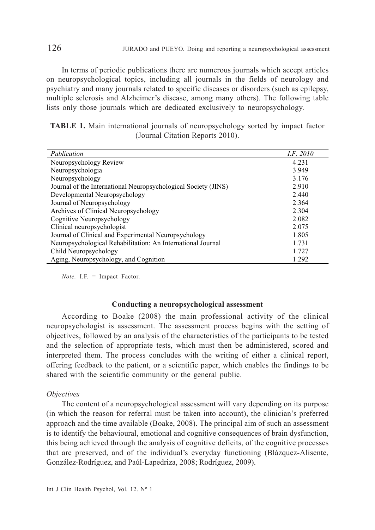In terms of periodic publications there are numerous journals which accept articles on neuropsychological topics, including all journals in the fields of neurology and psychiatry and many journals related to specific diseases or disorders (such as epilepsy, multiple sclerosis and Alzheimer's disease, among many others). The following table lists only those journals which are dedicated exclusively to neuropsychology.

|  |  | <b>TABLE 1.</b> Main international journals of neuropsychology sorted by impact factor |  |  |
|--|--|----------------------------------------------------------------------------------------|--|--|
|  |  | (Journal Citation Reports 2010).                                                       |  |  |

| Publication                                                    | <i>I.F. 2010</i> |
|----------------------------------------------------------------|------------------|
| Neuropsychology Review                                         | 4.231            |
| Neuropsychologia                                               | 3.949            |
| Neuropsychology                                                | 3.176            |
| Journal of the International Neuropsychological Society (JINS) | 2.910            |
| Developmental Neuropsychology                                  | 2.440            |
| Journal of Neuropsychology                                     | 2.364            |
| Archives of Clinical Neuropsychology                           | 2.304            |
| Cognitive Neuropsychology                                      | 2.082            |
| Clinical neuropsychologist                                     | 2.075            |
| Journal of Clinical and Experimental Neuropsychology           | 1.805            |
| Neuropsychological Rehabilitation: An International Journal    | 1.731            |
| Child Neuropsychology                                          | 1.727            |
| Aging, Neuropsychology, and Cognition                          | 1.292            |

*Note.* I.F. = Impact Factor.

## **Conducting a neuropsychological assessment**

According to Boake (2008) the main professional activity of the clinical neuropsychologist is assessment. The assessment process begins with the setting of objectives, followed by an analysis of the characteristics of the participants to be tested and the selection of appropriate tests, which must then be administered, scored and interpreted them. The process concludes with the writing of either a clinical report, offering feedback to the patient, or a scientific paper, which enables the findings to be shared with the scientific community or the general public.

#### *Objectives*

The content of a neuropsychological assessment will vary depending on its purpose (in which the reason for referral must be taken into account), the clinician's preferred approach and the time available (Boake, 2008). The principal aim of such an assessment is to identify the behavioural, emotional and cognitive consequences of brain dysfunction, this being achieved through the analysis of cognitive deficits, of the cognitive processes that are preserved, and of the individual's everyday functioning (Blázquez-Alisente, González-Rodríguez, and Paúl-Lapedriza, 2008; Rodríguez, 2009).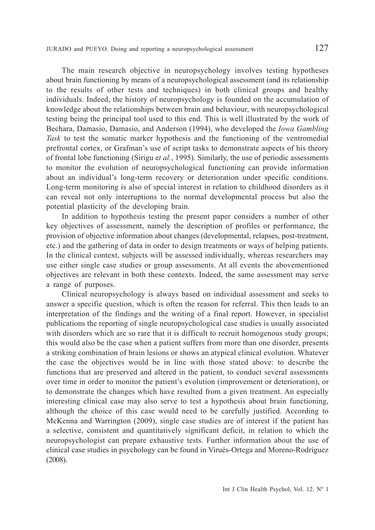JURADO and PUEYO*.* Doing and reporting a neuropsychological assessment 127

The main research objective in neuropsychology involves testing hypotheses about brain functioning by means of a neuropsychological assessment (and its relationship to the results of other tests and techniques) in both clinical groups and healthy individuals. Indeed, the history of neuropsychology is founded on the accumulation of knowledge about the relationships between brain and behaviour, with neuropsychological testing being the principal tool used to this end. This is well illustrated by the work of Bechara, Damasio, Damasio, and Anderson (1994), who developed the *Iowa Gambling Task* to test the somatic marker hypothesis and the functioning of the ventromedial prefrontal cortex, or Grafman's use of script tasks to demonstrate aspects of his theory of frontal lobe functioning (Sirigu e*t al.*, 1995). Similarly, the use of periodic assessments to monitor the evolution of neuropsychological functioning can provide information about an individual's long-term recovery or deterioration under specific conditions. Long-term monitoring is also of special interest in relation to childhood disorders as it can reveal not only interruptions to the normal developmental process but also the potential plasticity of the developing brain.

In addition to hypothesis testing the present paper considers a number of other key objectives of assessment, namely the description of profiles or performance, the provision of objective information about changes (developmental, relapses, post-treatment, etc.) and the gathering of data in order to design treatments or ways of helping patients. In the clinical context, subjects will be assessed individually, whereas researchers may use either single case studies or group assessments. At all events the abovementioned objectives are relevant in both these contexts. Indeed, the same assessment may serve a range of purposes.

Clinical neuropsychology is always based on individual assessment and seeks to answer a specific question, which is often the reason for referral. This then leads to an interpretation of the findings and the writing of a final report. However, in specialist publications the reporting of single neuropsychological case studies is usually associated with disorders which are so rare that it is difficult to recruit homogenous study groups; this would also be the case when a patient suffers from more than one disorder, presents a striking combination of brain lesions or shows an atypical clinical evolution. Whatever the case the objectives would be in line with those stated above: to describe the functions that are preserved and altered in the patient, to conduct several assessments over time in order to monitor the patient's evolution (improvement or deterioration), or to demonstrate the changes which have resulted from a given treatment. An especially interesting clinical case may also serve to test a hypothesis about brain functioning, although the choice of this case would need to be carefully justified. According to McKenna and Warrington (2009), single case studies are of interest if the patient has a selective, consistent and quantitatively significant deficit, in relation to which the neuropsychologist can prepare exhaustive tests. Further information about the use of clinical case studies in psychology can be found in Virués-Ortega and Moreno-Rodríguez (2008).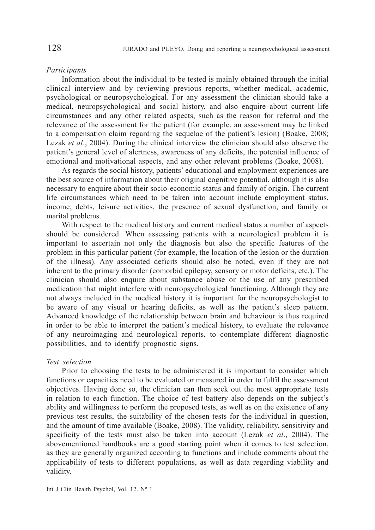#### *Participants*

Information about the individual to be tested is mainly obtained through the initial clinical interview and by reviewing previous reports, whether medical, academic, psychological or neuropsychological. For any assessment the clinician should take a medical, neuropsychological and social history, and also enquire about current life circumstances and any other related aspects, such as the reason for referral and the relevance of the assessment for the patient (for example, an assessment may be linked to a compensation claim regarding the sequelae of the patient's lesion) (Boake, 2008; Lezak *et al*., 2004). During the clinical interview the clinician should also observe the patient's general level of alertness, awareness of any deficits, the potential influence of emotional and motivational aspects, and any other relevant problems (Boake, 2008).

As regards the social history, patients' educational and employment experiences are the best source of information about their original cognitive potential, although it is also necessary to enquire about their socio-economic status and family of origin. The current life circumstances which need to be taken into account include employment status, income, debts, leisure activities, the presence of sexual dysfunction, and family or marital problems.

With respect to the medical history and current medical status a number of aspects should be considered. When assessing patients with a neurological problem it is important to ascertain not only the diagnosis but also the specific features of the problem in this particular patient (for example, the location of the lesion or the duration of the illness). Any associated deficits should also be noted, even if they are not inherent to the primary disorder (comorbid epilepsy, sensory or motor deficits, etc.). The clinician should also enquire about substance abuse or the use of any prescribed medication that might interfere with neuropsychological functioning. Although they are not always included in the medical history it is important for the neuropsychologist to be aware of any visual or hearing deficits, as well as the patient's sleep pattern. Advanced knowledge of the relationship between brain and behaviour is thus required in order to be able to interpret the patient's medical history, to evaluate the relevance of any neuroimaging and neurological reports, to contemplate different diagnostic possibilities, and to identify prognostic signs.

## *Test selection*

Prior to choosing the tests to be administered it is important to consider which functions or capacities need to be evaluated or measured in order to fulfil the assessment objectives. Having done so, the clinician can then seek out the most appropriate tests in relation to each function. The choice of test battery also depends on the subject's ability and willingness to perform the proposed tests, as well as on the existence of any previous test results, the suitability of the chosen tests for the individual in question, and the amount of time available (Boake, 2008). The validity, reliability, sensitivity and specificity of the tests must also be taken into account (Lezak *et al*., 2004). The abovementioned handbooks are a good starting point when it comes to test selection, as they are generally organized according to functions and include comments about the applicability of tests to different populations, as well as data regarding viability and validity.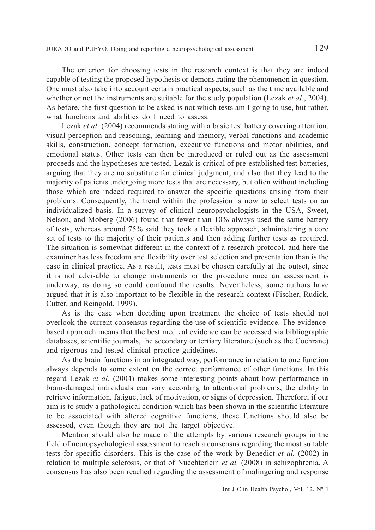The criterion for choosing tests in the research context is that they are indeed capable of testing the proposed hypothesis or demonstrating the phenomenon in question. One must also take into account certain practical aspects, such as the time available and whether or not the instruments are suitable for the study population (Lezak *et al*., 2004). As before, the first question to be asked is not which tests am I going to use, but rather, what functions and abilities do I need to assess.

Lezak *et al.* (2004) recommends stating with a basic test battery covering attention, visual perception and reasoning, learning and memory, verbal functions and academic skills, construction, concept formation, executive functions and motor abilities, and emotional status. Other tests can then be introduced or ruled out as the assessment proceeds and the hypotheses are tested. Lezak is critical of pre-established test batteries, arguing that they are no substitute for clinical judgment, and also that they lead to the majority of patients undergoing more tests that are necessary, but often without including those which are indeed required to answer the specific questions arising from their problems. Consequently, the trend within the profession is now to select tests on an individualized basis. In a survey of clinical neuropsychologists in the USA, Sweet, Nelson, and Moberg (2006) found that fewer than 10% always used the same battery of tests, whereas around 75% said they took a flexible approach, administering a core set of tests to the majority of their patients and then adding further tests as required. The situation is somewhat different in the context of a research protocol, and here the examiner has less freedom and flexibility over test selection and presentation than is the case in clinical practice. As a result, tests must be chosen carefully at the outset, since it is not advisable to change instruments or the procedure once an assessment is underway, as doing so could confound the results. Nevertheless, some authors have argued that it is also important to be flexible in the research context (Fischer, Rudick, Cutter, and Reingold, 1999).

As is the case when deciding upon treatment the choice of tests should not overlook the current consensus regarding the use of scientific evidence. The evidencebased approach means that the best medical evidence can be accessed via bibliographic databases, scientific journals, the secondary or tertiary literature (such as the Cochrane) and rigorous and tested clinical practice guidelines.

As the brain functions in an integrated way, performance in relation to one function always depends to some extent on the correct performance of other functions. In this regard Lezak *et al.* (2004) makes some interesting points about how performance in brain-damaged individuals can vary according to attentional problems, the ability to retrieve information, fatigue, lack of motivation, or signs of depression. Therefore, if our aim is to study a pathological condition which has been shown in the scientific literature to be associated with altered cognitive functions, these functions should also be assessed, even though they are not the target objective.

Mention should also be made of the attempts by various research groups in the field of neuropsychological assessment to reach a consensus regarding the most suitable tests for specific disorders. This is the case of the work by Benedict *et al.* (2002) in relation to multiple sclerosis, or that of Nuechterlein *et al.* (2008) in schizophrenia. A consensus has also been reached regarding the assessment of malingering and response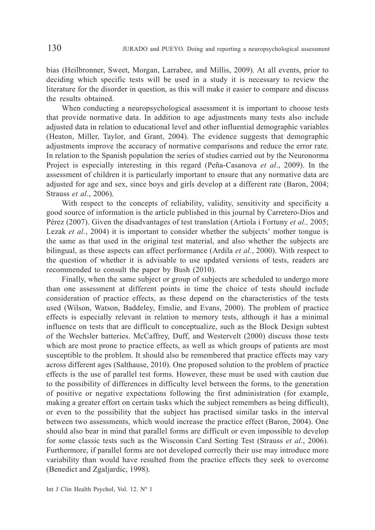bias (Heilbronner, Sweet, Morgan, Larrabee, and Millis, 2009). At all events, prior to deciding which specific tests will be used in a study it is necessary to review the literature for the disorder in question, as this will make it easier to compare and discuss the results obtained.

When conducting a neuropsychological assessment it is important to choose tests that provide normative data. In addition to age adjustments many tests also include adjusted data in relation to educational level and other influential demographic variables (Heaton, Miller, Taylor, and Grant, 2004). The evidence suggests that demographic adjustments improve the accuracy of normative comparisons and reduce the error rate. In relation to the Spanish population the series of studies carried out by the Neuronorma Project is especially interesting in this regard (Peña-Casanova *et al*., 2009). In the assessment of children it is particularly important to ensure that any normative data are adjusted for age and sex, since boys and girls develop at a different rate (Baron, 2004; Strauss *et al*., 2006).

With respect to the concepts of reliability, validity, sensitivity and specificity a good source of information is the article published in this journal by Carretero-Dios and Pérez (2007). Given the disadvantages of test translation (Artiola i Fortuny *et al.,* 2005; Lezak *et al.*, 2004) it is important to consider whether the subjects' mother tongue is the same as that used in the original test material, and also whether the subjects are bilingual, as these aspects can affect performance (Ardila *et al.*, 2000). With respect to the question of whether it is advisable to use updated versions of tests, readers are recommended to consult the paper by Bush (2010).

Finally, when the same subject or group of subjects are scheduled to undergo more than one assessment at different points in time the choice of tests should include consideration of practice effects, as these depend on the characteristics of the tests used (Wilson, Watson, Baddeley, Emslie, and Evans, 2000). The problem of practice effects is especially relevant in relation to memory tests, although it has a minimal influence on tests that are difficult to conceptualize, such as the Block Design subtest of the Wechsler batteries. McCaffrey, Duff, and Westervelt (2000) discuss those tests which are most prone to practice effects, as well as which groups of patients are most susceptible to the problem. It should also be remembered that practice effects may vary across different ages (Salthause, 2010). One proposed solution to the problem of practice effects is the use of parallel test forms. However, these must be used with caution due to the possibility of differences in difficulty level between the forms, to the generation of positive or negative expectations following the first administration (for example, making a greater effort on certain tasks which the subject remembers as being difficult), or even to the possibility that the subject has practised similar tasks in the interval between two assessments, which would increase the practice effect (Baron, 2004). One should also bear in mind that parallel forms are difficult or even impossible to develop for some classic tests such as the Wisconsin Card Sorting Test (Strauss *et al*., 2006). Furthermore, if parallel forms are not developed correctly their use may introduce more variability than would have resulted from the practice effects they seek to overcome (Benedict and Zgaljardic, 1998).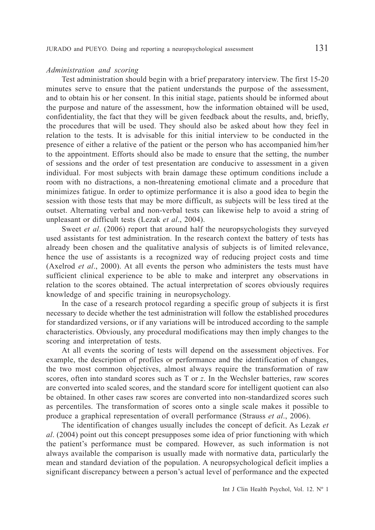#### *Administration and scoring*

Test administration should begin with a brief preparatory interview. The first 15-20 minutes serve to ensure that the patient understands the purpose of the assessment, and to obtain his or her consent. In this initial stage, patients should be informed about the purpose and nature of the assessment, how the information obtained will be used, confidentiality, the fact that they will be given feedback about the results, and, briefly, the procedures that will be used. They should also be asked about how they feel in relation to the tests. It is advisable for this initial interview to be conducted in the presence of either a relative of the patient or the person who has accompanied him/her to the appointment. Efforts should also be made to ensure that the setting, the number of sessions and the order of test presentation are conducive to assessment in a given individual. For most subjects with brain damage these optimum conditions include a room with no distractions, a non-threatening emotional climate and a procedure that minimizes fatigue. In order to optimize performance it is also a good idea to begin the session with those tests that may be more difficult, as subjects will be less tired at the outset. Alternating verbal and non-verbal tests can likewise help to avoid a string of unpleasant or difficult tests (Lezak *et al*., 2004).

Sweet *et al*. (2006) report that around half the neuropsychologists they surveyed used assistants for test administration. In the research context the battery of tests has already been chosen and the qualitative analysis of subjects is of limited relevance, hence the use of assistants is a recognized way of reducing project costs and time (Axelrod *et al*., 2000). At all events the person who administers the tests must have sufficient clinical experience to be able to make and interpret any observations in relation to the scores obtained. The actual interpretation of scores obviously requires knowledge of and specific training in neuropsychology.

In the case of a research protocol regarding a specific group of subjects it is first necessary to decide whether the test administration will follow the established procedures for standardized versions, or if any variations will be introduced according to the sample characteristics. Obviously, any procedural modifications may then imply changes to the scoring and interpretation of tests.

At all events the scoring of tests will depend on the assessment objectives. For example, the description of profiles or performance and the identification of changes, the two most common objectives, almost always require the transformation of raw scores, often into standard scores such as T or *z*. In the Wechsler batteries, raw scores are converted into scaled scores, and the standard score for intelligent quotient can also be obtained. In other cases raw scores are converted into non-standardized scores such as percentiles. The transformation of scores onto a single scale makes it possible to produce a graphical representation of overall performance (Strauss *et al*., 2006).

The identification of changes usually includes the concept of deficit. As Lezak *et al*. (2004) point out this concept presupposes some idea of prior functioning with which the patient's performance must be compared. However, as such information is not always available the comparison is usually made with normative data, particularly the mean and standard deviation of the population. A neuropsychological deficit implies a significant discrepancy between a person's actual level of performance and the expected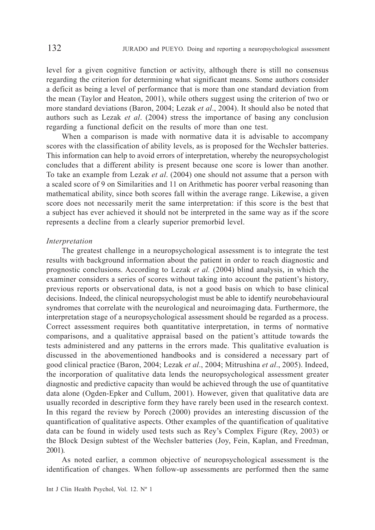level for a given cognitive function or activity, although there is still no consensus regarding the criterion for determining what significant means. Some authors consider a deficit as being a level of performance that is more than one standard deviation from the mean (Taylor and Heaton, 2001), while others suggest using the criterion of two or more standard deviations (Baron, 2004; Lezak *et al*., 2004). It should also be noted that authors such as Lezak *et al*. (2004) stress the importance of basing any conclusion regarding a functional deficit on the results of more than one test.

When a comparison is made with normative data it is advisable to accompany scores with the classification of ability levels, as is proposed for the Wechsler batteries. This information can help to avoid errors of interpretation, whereby the neuropsychologist concludes that a different ability is present because one score is lower than another. To take an example from Lezak *et al*. (2004) one should not assume that a person with a scaled score of 9 on Similarities and 11 on Arithmetic has poorer verbal reasoning than mathematical ability, since both scores fall within the average range. Likewise, a given score does not necessarily merit the same interpretation: if this score is the best that a subject has ever achieved it should not be interpreted in the same way as if the score represents a decline from a clearly superior premorbid level.

## *Interpretation*

The greatest challenge in a neuropsychological assessment is to integrate the test results with background information about the patient in order to reach diagnostic and prognostic conclusions. According to Lezak *et al.* (2004) blind analysis, in which the examiner considers a series of scores without taking into account the patient's history, previous reports or observational data, is not a good basis on which to base clinical decisions. Indeed, the clinical neuropsychologist must be able to identify neurobehavioural syndromes that correlate with the neurological and neuroimaging data. Furthermore, the interpretation stage of a neuropsychological assessment should be regarded as a process. Correct assessment requires both quantitative interpretation, in terms of normative comparisons, and a qualitative appraisal based on the patient's attitude towards the tests administered and any patterns in the errors made. This qualitative evaluation is discussed in the abovementioned handbooks and is considered a necessary part of good clinical practice (Baron, 2004; Lezak *et al*., 2004; Mitrushina *et al*., 2005). Indeed, the incorporation of qualitative data lends the neuropsychological assessment greater diagnostic and predictive capacity than would be achieved through the use of quantitative data alone (Ogden-Epker and Cullum, 2001). However, given that qualitative data are usually recorded in descriptive form they have rarely been used in the research context. In this regard the review by Porech (2000) provides an interesting discussion of the quantification of qualitative aspects. Other examples of the quantification of qualitative data can be found in widely used tests such as Rey's Complex Figure (Rey, 2003) or the Block Design subtest of the Wechsler batteries (Joy, Fein, Kaplan, and Freedman, 2001).

As noted earlier, a common objective of neuropsychological assessment is the identification of changes. When follow-up assessments are performed then the same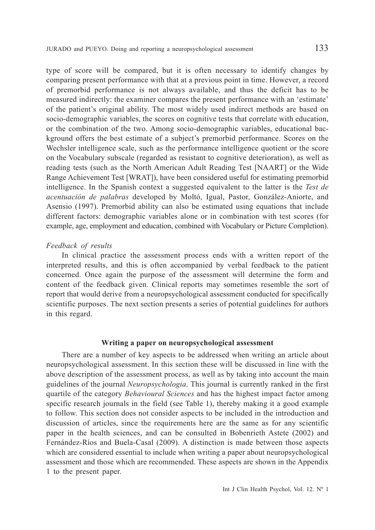type of score will be compared, but it is often necessary to identify changes by comparing present performance with that at a previous point in time. However, a record of premorbid performance is not always available, and thus the deficit has to be measured indirectly: the examiner compares the present performance with an 'estimate' of the patient's original ability. The most widely used indirect methods are based on socio-demographic variables, the scores on cognitive tests that correlate with education, or the combination of the two. Among socio-demographic variables, educational background offers the best estimate of a subject's premorbid performance. Scores on the Wechsler intelligence scale, such as the performance intelligence quotient or the score on the Vocabulary subscale (regarded as resistant to cognitive deterioration), as well as reading tests (such as the North American Adult Reading Test [NAART] or the Wide Range Achievement Test [WRAT]), have been considered useful for estimating premorbid intelligence. In the Spanish context a suggested equivalent to the latter is the *Test de acentuación de palabras* developed by Moltó, Igual, Pastor, González-Aniorte, and Asensio (1997). Premorbid ability can also be estimated using equations that include different factors: demographic variables alone or in combination with test scores (for example, age, employment and education, combined with Vocabulary or Picture Completion).

## *Feedback of results*

In clinical practice the assessment process ends with a written report of the interpreted results, and this is often accompanied by verbal feedback to the patient concerned. Once again the purpose of the assessment will determine the form and content of the feedback given. Clinical reports may sometimes resemble the sort of report that would derive from a neuropsychological assessment conducted for specifically scientific purposes. The next section presents a series of potential guidelines for authors in this regard.

## **Writing a paper on neuropsychological assessment**

There are a number of key aspects to be addressed when writing an article about neuropsychological assessment. In this section these will be discussed in line with the above description of the assessment process, as well as by taking into account the main guidelines of the journal *Neuropsychologia*. This journal is currently ranked in the first quartile of the category *Behavioural Sciences* and has the highest impact factor among specific research journals in the field (see Table 1), thereby making it a good example to follow. This section does not consider aspects to be included in the introduction and discussion of articles, since the requirements here are the same as for any scientific paper in the health sciences, and can be consulted in Bobenrieth Astete (2002) and Fernández-Ríos and Buela-Casal (2009). A distinction is made between those aspects which are considered essential to include when writing a paper about neuropsychological assessment and those which are recommended. These aspects are shown in the Appendix 1 to the present paper.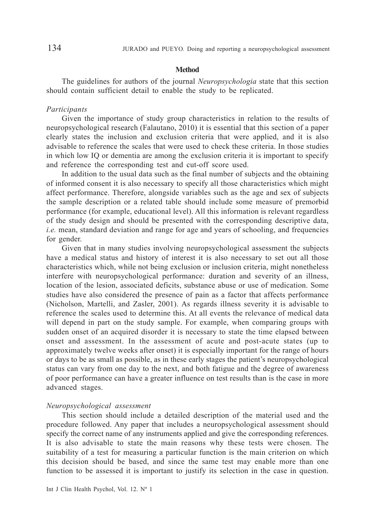#### **Method**

The guidelines for authors of the journal *Neuropsychologia* state that this section should contain sufficient detail to enable the study to be replicated.

## *Participants*

Given the importance of study group characteristics in relation to the results of neuropsychological research (Falautano, 2010) it is essential that this section of a paper clearly states the inclusion and exclusion criteria that were applied, and it is also advisable to reference the scales that were used to check these criteria. In those studies in which low IQ or dementia are among the exclusion criteria it is important to specify and reference the corresponding test and cut-off score used.

In addition to the usual data such as the final number of subjects and the obtaining of informed consent it is also necessary to specify all those characteristics which might affect performance. Therefore, alongside variables such as the age and sex of subjects the sample description or a related table should include some measure of premorbid performance (for example, educational level). All this information is relevant regardless of the study design and should be presented with the corresponding descriptive data, *i.e.* mean, standard deviation and range for age and years of schooling, and frequencies for gender.

Given that in many studies involving neuropsychological assessment the subjects have a medical status and history of interest it is also necessary to set out all those characteristics which, while not being exclusion or inclusion criteria, might nonetheless interfere with neuropsychological performance: duration and severity of an illness, location of the lesion, associated deficits, substance abuse or use of medication. Some studies have also considered the presence of pain as a factor that affects performance (Nicholson, Martelli, and Zasler, 2001). As regards illness severity it is advisable to reference the scales used to determine this. At all events the relevance of medical data will depend in part on the study sample. For example, when comparing groups with sudden onset of an acquired disorder it is necessary to state the time elapsed between onset and assessment. In the assessment of acute and post-acute states (up to approximately twelve weeks after onset) it is especially important for the range of hours or days to be as small as possible, as in these early stages the patient's neuropsychological status can vary from one day to the next, and both fatigue and the degree of awareness of poor performance can have a greater influence on test results than is the case in more advanced stages.

### *Neuropsychological assessment*

This section should include a detailed description of the material used and the procedure followed. Any paper that includes a neuropsychological assessment should specify the correct name of any instruments applied and give the corresponding references. It is also advisable to state the main reasons why these tests were chosen. The suitability of a test for measuring a particular function is the main criterion on which this decision should be based, and since the same test may enable more than one function to be assessed it is important to justify its selection in the case in question.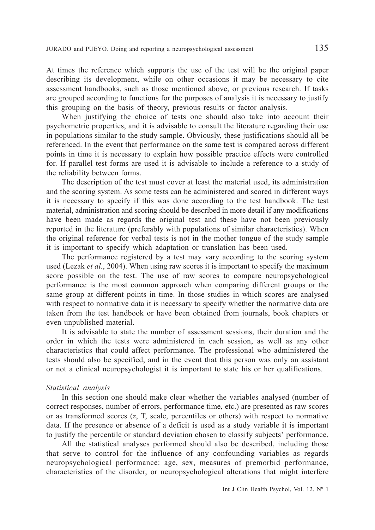At times the reference which supports the use of the test will be the original paper describing its development, while on other occasions it may be necessary to cite assessment handbooks, such as those mentioned above, or previous research. If tasks are grouped according to functions for the purposes of analysis it is necessary to justify this grouping on the basis of theory, previous results or factor analysis.

When justifying the choice of tests one should also take into account their psychometric properties, and it is advisable to consult the literature regarding their use in populations similar to the study sample. Obviously, these justifications should all be referenced. In the event that performance on the same test is compared across different points in time it is necessary to explain how possible practice effects were controlled for. If parallel test forms are used it is advisable to include a reference to a study of the reliability between forms.

The description of the test must cover at least the material used, its administration and the scoring system. As some tests can be administered and scored in different ways it is necessary to specify if this was done according to the test handbook. The test material, administration and scoring should be described in more detail if any modifications have been made as regards the original test and these have not been previously reported in the literature (preferably with populations of similar characteristics). When the original reference for verbal tests is not in the mother tongue of the study sample it is important to specify which adaptation or translation has been used.

The performance registered by a test may vary according to the scoring system used (Lezak *et al*., 2004). When using raw scores it is important to specify the maximum score possible on the test. The use of raw scores to compare neuropsychological performance is the most common approach when comparing different groups or the same group at different points in time. In those studies in which scores are analysed with respect to normative data it is necessary to specify whether the normative data are taken from the test handbook or have been obtained from journals, book chapters or even unpublished material.

It is advisable to state the number of assessment sessions, their duration and the order in which the tests were administered in each session, as well as any other characteristics that could affect performance. The professional who administered the tests should also be specified, and in the event that this person was only an assistant or not a clinical neuropsychologist it is important to state his or her qualifications.

## *Statistical analysis*

In this section one should make clear whether the variables analysed (number of correct responses, number of errors, performance time, etc.) are presented as raw scores or as transformed scores (*z*, T, scale, percentiles or others) with respect to normative data. If the presence or absence of a deficit is used as a study variable it is important to justify the percentile or standard deviation chosen to classify subjects' performance.

All the statistical analyses performed should also be described, including those that serve to control for the influence of any confounding variables as regards neuropsychological performance: age, sex, measures of premorbid performance, characteristics of the disorder, or neuropsychological alterations that might interfere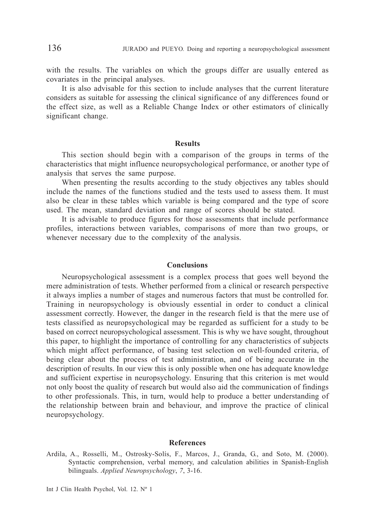with the results. The variables on which the groups differ are usually entered as covariates in the principal analyses.

It is also advisable for this section to include analyses that the current literature considers as suitable for assessing the clinical significance of any differences found or the effect size, as well as a Reliable Change Index or other estimators of clinically significant change.

#### **Results**

This section should begin with a comparison of the groups in terms of the characteristics that might influence neuropsychological performance, or another type of analysis that serves the same purpose.

When presenting the results according to the study objectives any tables should include the names of the functions studied and the tests used to assess them. It must also be clear in these tables which variable is being compared and the type of score used. The mean, standard deviation and range of scores should be stated.

It is advisable to produce figures for those assessments that include performance profiles, interactions between variables, comparisons of more than two groups, or whenever necessary due to the complexity of the analysis.

#### **Conclusions**

Neuropsychological assessment is a complex process that goes well beyond the mere administration of tests. Whether performed from a clinical or research perspective it always implies a number of stages and numerous factors that must be controlled for. Training in neuropsychology is obviously essential in order to conduct a clinical assessment correctly. However, the danger in the research field is that the mere use of tests classified as neuropsychological may be regarded as sufficient for a study to be based on correct neuropsychological assessment. This is why we have sought, throughout this paper, to highlight the importance of controlling for any characteristics of subjects which might affect performance, of basing test selection on well-founded criteria, of being clear about the process of test administration, and of being accurate in the description of results. In our view this is only possible when one has adequate knowledge and sufficient expertise in neuropsychology. Ensuring that this criterion is met would not only boost the quality of research but would also aid the communication of findings to other professionals. This, in turn, would help to produce a better understanding of the relationship between brain and behaviour, and improve the practice of clinical neuropsychology.

#### **References**

Ardila, A., Rosselli, M., Ostrosky-Solís, F., Marcos, J., Granda, G., and Soto, M. (2000). Syntactic comprehension, verbal memory, and calculation abilities in Spanish-English bilinguals. *Applied Neuropsychology*, *7*, 3-16.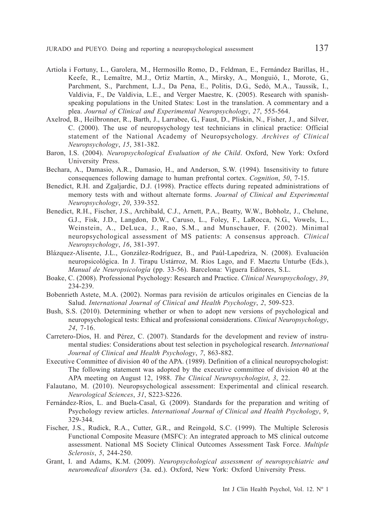- Artiola i Fortuny, L., Garolera, M., Hermosillo Romo, D., Feldman, E., Fernández Barillas, H., Keefe, R., Lemaître, M.J., Ortiz Martín, A., Mirsky, A., Monguió, I., Morote, G., Parchment, S., Parchment, L.J., Da Pena, E., Politis, D.G., Sedó, M.A., Taussik, I., Valdivia, F., De Valdivia, L.E., and Verger Maestre, K. (2005). Research with spanishspeaking populations in the United States: Lost in the translation. A commentary and a plea. *Journal of Clinical and Experimental Neuropsychology*, *27*, 555-564.
- Axelrod, B., Heilbronner, R., Barth, J., Larrabee, G., Faust, D., Pliskin, N., Fisher, J., and Silver, C. (2000). The use of neuropsychology test technicians in clinical practice: Official statement of the National Academy of Neuropsychology. *Archives of Clinical Neuropsychology*, *15*, 381-382.
- Baron, I.S. (2004). *Neuropsychological Evaluation of the Child*. Oxford, New York: Oxford University Press.
- Bechara, A., Damasio, A.R., Damasio, H., and Anderson, S.W. (1994). Insensitivity to future consequences following damage to human prefrontal cortex. *Cognition*, *50*, 7-15.
- Benedict, R.H. and Zgaljardic, D.J. (1998). Practice effects during repeated administrations of memory tests with and without alternate forms. *Journal of Clinical and Experimental Neuropsychology*, *20*, 339-352.
- Benedict, R.H., Fischer, J.S., Archibald, C.J., Arnett, P.A., Beatty, W.W., Bobholz, J., Chelune, G.J., Fisk, J.D., Langdon, D.W., Caruso, L., Foley, F., LaRocca, N.G., Vowels, L., Weinstein, A., DeLuca, J., Rao, S.M., and Munschauer, F. (2002). Minimal neuropsychological assessment of MS patients: A consensus approach. *Clinical Neuropsychology*, *16*, 381-397.
- Blázquez-Alisente, J.L., González-Rodríguez, B., and Paúl-Lapedriza, N. (2008). Evaluación neuropsicológica. In J. Tirapu Ustárroz, M. Rios Lago, and F. Maeztu Unturbe (Eds.), *Manual de Neuropsicología* (pp. 33-56). Barcelona: Viguera Editores, S.L.
- Boake, C. (2008). Professional Psychology: Research and Practice. *Clinical Neuropsychology*, *39*, 234-239.
- Bobenrieth Astete, M.A. (2002). Normas para revisión de artículos originales en Ciencias de la Salud. *International Journal of Clinical and Health Psychology*, *2*, 509-523.
- Bush, S.S. (2010). Determining whether or when to adopt new versions of psychological and neuropsychological tests: Ethical and professional considerations. *Clinical Neuropsychology*, *24*, 7-16.
- Carretero-Dios, H. and Pérez, C. (2007). Standards for the development and review of instrumental studies: Considerations about test selection in psychological research. *International Journal of Clinical and Health Psychology*, *7*, 863-882.
- Executive Committee of division 40 of the APA. (1989). Definition of a clinical neuropsychologist: The following statement was adopted by the executive committee of division 40 at the APA meeting on August 12, 1988. *The Clinical Neuropsychologist*, *3*, 22.
- Falautano, M. (2010). Neuropsychological assessment: Experimental and clinical research. *Neurological Sciences*, *31*, S223-S226.
- Fernández-Ríos, L. and Buela-Casal, G. (2009). Standards for the preparation and writing of Psychology review articles. *International Journal of Clinical and Health Psychology*, *9*, 329-344.
- Fischer, J.S., Rudick, R.A., Cutter, G.R., and Reingold, S.C. (1999). The Multiple Sclerosis Functional Composite Measure (MSFC): An integrated approach to MS clinical outcome assessment. National MS Society Clinical Outcomes Assessment Task Force. *Multiple Sclerosis*, *5*, 244-250.
- Grant, I. and Adams, K.M. (2009). *Neuropsychological assessment of neuropsychiatric and neuromedical disorders* (3a. ed.). Oxford, New York: Oxford University Press.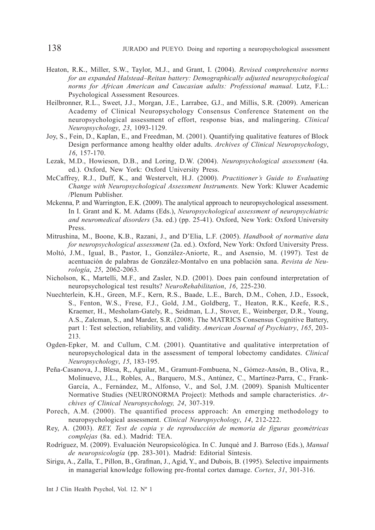- Heaton, R.K., Miller, S.W., Taylor, M.J., and Grant, I. (2004). *Revised comprehensive norms for an expanded Halstead–Reitan battery: Demographically adjusted neuropsychological norms for African American and Caucasian adults: Professional manual*. Lutz, F.L.: Psychological Assessment Resources.
- Heilbronner, R.L., Sweet, J.J., Morgan, J.E., Larrabee, G.J., and Millis, S.R. (2009). American Academy of Clinical Neuropsychology Consensus Conference Statement on the neuropsychological assessment of effort, response bias, and malingering. *Clinical Neuropsychology*, *23*, 1093-1129.
- Joy, S., Fein, D., Kaplan, E., and Freedman, M. (2001). Quantifying qualitative features of Block Design performance among healthy older adults. *Archives of Clinical Neuropsychology*, *16*, 157-170.
- Lezak, M.D., Howieson, D.B., and Loring, D.W. (2004). *Neuropsychological assessment* (4a. ed.). Oxford, New York: Oxford University Press.
- McCaffrey, R.J., Duff, K., and Westervelt, H.J. (2000). *Practitioner's Guide to Evaluating Change with Neuropsychological Assessment Instruments.* New York: Kluwer Academic /Plenum Publisher.
- Mckenna, P. and Warrington, E.K. (2009). The analytical approach to neuropsychological assessment. In I. Grant and K. M. Adams (Eds.), *Neuropsychological assessment of neuropsychiatric and neuromedical disorders* (3a. ed.) (pp. 25-41). Oxford, New York: Oxford University Press.
- Mitrushina, M., Boone, K.B., Razani, J., and D'Elia, L.F. (2005). *Handbook of normative data for neuropsychological assessment* (2a. ed.). Oxford, New York: Oxford University Press.
- Moltó, J.M., Igual, B., Pastor, I., González-Aniorte, R., and Asensio, M. (1997). Test de acentuación de palabras de González-Montalvo en una población sana. *Revista de Neurología*, *25*, 2062-2063.
- Nicholson, K., Martelli, M.F., and Zasler, N.D. (2001). Does pain confound interpretation of neuropsychological test results? *NeuroRehabilitation*, *16*, 225-230.
- Nuechterlein, K.H., Green, M.F., Kern, R.S., Baade, L.E., Barch, D.M., Cohen, J.D., Essock, S., Fenton, W.S., Frese, F.J., Gold, J.M., Goldberg, T., Heaton, R.K., Keefe, R.S., Kraemer, H., Mesholam-Gately, R., Seidman, L.J., Stover, E., Weinberger, D.R., Young, A.S., Zalcman, S., and Marder, S.R. (2008). The MATRICS Consensus Cognitive Battery, part 1: Test selection, reliability, and validity. *American Journal of Psychiatry*, *165*, 203- 213.
- Ogden-Epker, M. and Cullum, C.M. (2001). Quantitative and qualitative interpretation of neuropsychological data in the assessment of temporal lobectomy candidates. *Clinical Neuropsychology*, *15*, 183-195.
- Peña-Casanova, J., Blesa, R,, Aguilar, M., Gramunt-Fombuena, N., Gómez-Ansón, B., Oliva, R., Molinuevo, J.L., Robles, A., Barquero, M.S., Antúnez, C., Martínez-Parra, C., Frank-García, A., Fernández, M., Alfonso, V., and Sol, J.M. (2009). Spanish Multicenter Normative Studies (NEURONORMA Project): Methods and sample characteristics. *Archives of Clinical Neuropsychology, 24*, 307-319.
- Porech, A.M. (2000). The quantified process approach: An emerging methodology to neuropsychological assessment. *Clinical Neuropsychology*, *14*, 212-222.
- Rey, A. (2003). *REY, Test de copia y de reproducción de memoria de figuras geométricas complejas* (8a. ed.). Madrid: TEA.
- Rodríguez, M. (2009). Evaluación Neuropsicológica. In C. Junqué and J. Barroso (Eds.), *Manual de neuropsicología* (pp. 283-301). Madrid: Editorial Síntesis.
- Sirigu, A., Zalla, T., Pillon, B., Grafman, J., Agid, Y., and Dubois, B. (1995). Selective impairments in managerial knowledge following pre-frontal cortex damage. *Cortex*, *31*, 301-316.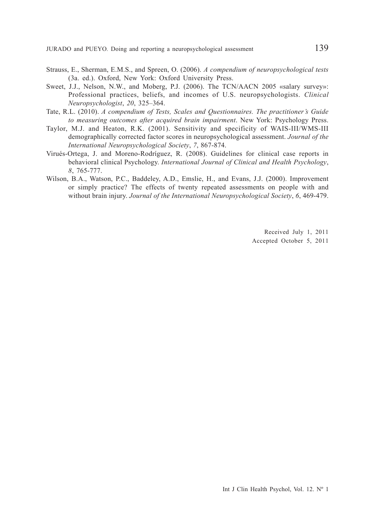- Strauss, E., Sherman, E.M.S., and Spreen, O. (2006). *A compendium of neuropsychological tests* (3a. ed.). Oxford, New York: Oxford University Press.
- Sweet, J.J., Nelson, N.W., and Moberg, P.J. (2006). The TCN/AACN 2005 «salary survey»: Professional practices, beliefs, and incomes of U.S. neuropsychologists. *Clinical Neuropsychologist*, *20*, 325–364.
- Tate, R.L. (2010). *A compendium of Tests, Scales and Questionnaires. The practitioner's Guide to measuring outcomes after acquired brain impairment*. New York: Psychology Press.
- Taylor, M.J. and Heaton, R.K. (2001). Sensitivity and specificity of WAIS-III/WMS-III demographically corrected factor scores in neuropsychological assessment. *Journal of the International Neuropsychological Society*, *7*, 867-874.
- Virués-Ortega, J. and Moreno-Rodríguez, R. (2008). Guidelines for clinical case reports in behavioral clinical Psychology. *International Journal of Clinical and Health Psychology*, *8*, 765-777.
- Wilson, B.A., Watson, P.C., Baddeley, A.D., Emslie, H., and Evans, J.J. (2000). Improvement or simply practice? The effects of twenty repeated assessments on people with and without brain injury. *Journal of the International Neuropsychological Society*, *6*, 469-479.

Received July 1, 2011 Accepted October 5, 2011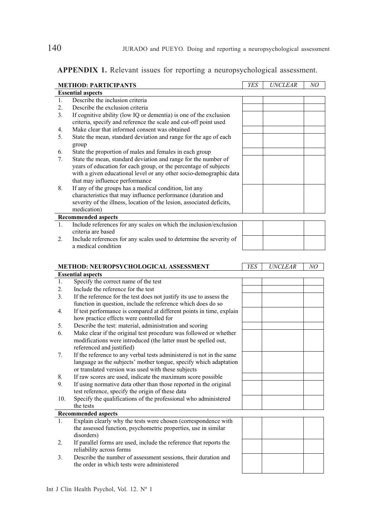| APPENDIX 1. Relevant issues for reporting a neuropsychological assessment. |  |  |  |
|----------------------------------------------------------------------------|--|--|--|
|----------------------------------------------------------------------------|--|--|--|

|         | <b>METHOD: PARTICIPANTS</b>                                                                                                      | YES | <b>UNCLEAR</b> | NO |
|---------|----------------------------------------------------------------------------------------------------------------------------------|-----|----------------|----|
|         | <b>Essential aspects</b>                                                                                                         |     |                |    |
| 1.      | Describe the inclusion criteria                                                                                                  |     |                |    |
| 2.      | Describe the exclusion criteria                                                                                                  |     |                |    |
| 3.      | If cognitive ability (low IQ or dementia) is one of the exclusion                                                                |     |                |    |
|         | criteria, specify and reference the scale and cut-off point used                                                                 |     |                |    |
| 4.      | Make clear that informed consent was obtained                                                                                    |     |                |    |
| 5.      | State the mean, standard deviation and range for the age of each                                                                 |     |                |    |
|         | group                                                                                                                            |     |                |    |
| 6.      | State the proportion of males and females in each group                                                                          |     |                |    |
| 7.      | State the mean, standard deviation and range for the number of                                                                   |     |                |    |
|         | years of education for each group, or the percentage of subjects                                                                 |     |                |    |
|         | with a given educational level or any other socio-demographic data                                                               |     |                |    |
|         | that may influence performance                                                                                                   |     |                |    |
| 8.      | If any of the groups has a medical condition, list any                                                                           |     |                |    |
|         | characteristics that may influence performance (duration and                                                                     |     |                |    |
|         | severity of the illness, location of the lesion, associated deficits,                                                            |     |                |    |
|         | medication)                                                                                                                      |     |                |    |
|         | <b>Recommended aspects</b>                                                                                                       |     |                |    |
| $1_{-}$ | Include references for any scales on which the inclusion/exclusion                                                               |     |                |    |
|         | criteria are based                                                                                                               |     |                |    |
| 2.      | Include references for any scales used to determine the severity of                                                              |     |                |    |
|         | a medical condition                                                                                                              |     |                |    |
|         |                                                                                                                                  |     |                |    |
|         |                                                                                                                                  |     |                |    |
|         |                                                                                                                                  |     |                |    |
|         | METHOD: NEUROPSYCHOLOGICAL ASSESSMENT                                                                                            | YES | <b>UNCLEAR</b> | NO |
|         | <b>Essential aspects</b>                                                                                                         |     |                |    |
| 1.      | Specify the correct name of the test                                                                                             |     |                |    |
| 2.      | Include the reference for the test                                                                                               |     |                |    |
| 3.      | If the reference for the test does not justify its use to assess the                                                             |     |                |    |
|         | function in question, include the reference which does do so                                                                     |     |                |    |
| 4.      | If test performance is compared at different points in time, explain                                                             |     |                |    |
|         | how practice effects were controlled for                                                                                         |     |                |    |
| 5.      | Describe the test: material, administration and scoring                                                                          |     |                |    |
| 6.      | Make clear if the original test procedure was followed or whether                                                                |     |                |    |
|         | modifications were introduced (the latter must be spelled out,                                                                   |     |                |    |
|         |                                                                                                                                  |     |                |    |
| 7.      | referenced and justified)<br>If the reference to any verbal tests administered is not in the same                                |     |                |    |
|         | language as the subjects' mother tongue, specify which adaptation                                                                |     |                |    |
|         | or translated version was used with these subjects                                                                               |     |                |    |
| 8.      |                                                                                                                                  |     |                |    |
| 9.      | If raw scores are used, indicate the maximum score possible<br>If using normative data other than those reported in the original |     |                |    |
|         | test reference, specify the origin of these data                                                                                 |     |                |    |
| 10.     |                                                                                                                                  |     |                |    |
|         | Specify the qualifications of the professional who administered<br>the tests                                                     |     |                |    |
|         | <b>Recommended aspects</b>                                                                                                       |     |                |    |
| 1.      |                                                                                                                                  |     |                |    |
|         | Explain clearly why the tests were chosen (correspondence with<br>the assessed function, psychometric properties, use in similar |     |                |    |

- 2. If parallel forms are used, include the reference that reports the reliability across forms
- 3. Describe the number of assessment sessions, their duration and the order in which tests were administered